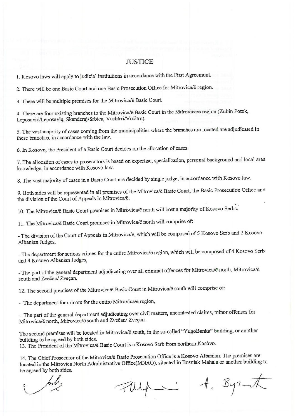## **JUSTICE**

1. Kosovo laws will apply to judicial institutions in accordance with the First Agreement.

2. There will be one Basic Court and one Basic Prosecution Office for Mitrovica/ë region.

3. There will be multiple premises for the Mitrovica/ë Basic Court.

4. There are four existing branches to the Mitrovica/ë Basic Court in the Mitrovica/ë region (Zubin Potok, Leposavić/Leposaviq, Skenderaj/Srbica, Vushtrri/Vučitrn).

5. The vast majority of cases coming from the municipalities where the branches are located are adjudicated in these branches, in accordance with the law.

6. In Kosovo, the President of a Basic Court decides on the allocation of cases.

7. The allocation of cases to prosecutors is based on expertise, specialization, personal background and local area knowledge, in accordance with Kosovo law.

8. The vast majority of cases in a Basic Court are decided by single judge, in accordance with Kosovo law.

9. Both sides will be represented in all premises of the Mitrovica/ë Basic Court, the Basic Prosecution Office and the division of the Court of Appeals in Mitrovica/ë.

10. The Mitrovica/ë Basic Court premises in Mitrovica/ë north will host a majority of Kosovo Serbs.

11. The Mitrovica/ë Basic Court premises in Mitrovica/ë north will comprise of:

- The division of the Court of Appeals in Mitrovica/ë, which will be composed of 5 Kosovo Serb and 2 Kosovo Albanian Judges,

- The department for serious crimes for the entire Mitrovica/ë region, which will be composed of 4 Kosovo Serb and 4 Kosovo Albanian Judges,

- The part of the general department adjudicating over all criminal offences for Mitrovica/ë north, Mitrovica/ë south and Zvečan/ Zveçan.

12. The second premises of the Mitrovica/ë Basic Court in Mitrovica/ë south will comprise of:

- The department for minors for the entire Mitrovica/ë region,

- The part of the general department adjudicating over civil matters, uncontested claims, minor offenses for Mitrovica/ë north, Mitrovica/ë south and Zvečan/ Zveçan.

The second premises will be located in Mitrovica/ë south, in the so-called "YugoBanka" building, or another building to be agreed by both sides.

13. The President of the Mitrovica/ë Basic Court is a Kosovo Serb from northern Kosovo.

14. The Chief Prosecutor of the Mitrovica/ë Basic Prosecution Office is a Kosovo Albanian. The premises are located in the Mitrovica North Administrative Office(MNAO), situated in Bosniak Mahala or another building to be agreed by both sides.

A. Byzut Fluga